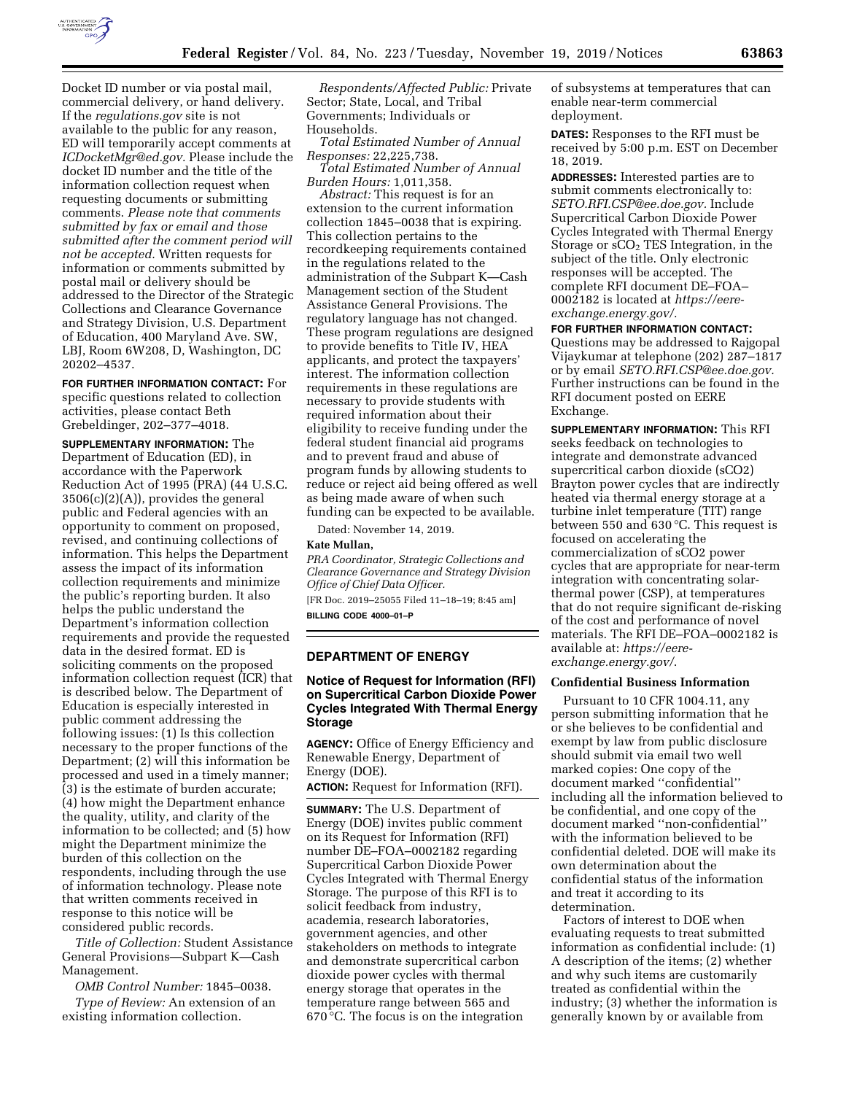

Docket ID number or via postal mail, commercial delivery, or hand delivery. If the *regulations.gov* site is not available to the public for any reason, ED will temporarily accept comments at *[ICDocketMgr@ed.gov.](mailto:ICDocketMgr@ed.gov)* Please include the docket ID number and the title of the information collection request when requesting documents or submitting comments. *Please note that comments submitted by fax or email and those submitted after the comment period will not be accepted.* Written requests for information or comments submitted by postal mail or delivery should be addressed to the Director of the Strategic Collections and Clearance Governance and Strategy Division, U.S. Department of Education, 400 Maryland Ave. SW, LBJ, Room 6W208, D, Washington, DC 20202–4537.

**FOR FURTHER INFORMATION CONTACT:** For specific questions related to collection activities, please contact Beth Grebeldinger, 202–377–4018.

**SUPPLEMENTARY INFORMATION:** The Department of Education (ED), in accordance with the Paperwork Reduction Act of 1995 (PRA) (44 U.S.C.  $3506(c)(2)(A)$ , provides the general public and Federal agencies with an opportunity to comment on proposed, revised, and continuing collections of information. This helps the Department assess the impact of its information collection requirements and minimize the public's reporting burden. It also helps the public understand the Department's information collection requirements and provide the requested data in the desired format. ED is soliciting comments on the proposed information collection request (ICR) that is described below. The Department of Education is especially interested in public comment addressing the following issues: (1) Is this collection necessary to the proper functions of the Department; (2) will this information be processed and used in a timely manner; (3) is the estimate of burden accurate; (4) how might the Department enhance the quality, utility, and clarity of the information to be collected; and (5) how might the Department minimize the burden of this collection on the respondents, including through the use of information technology. Please note that written comments received in response to this notice will be considered public records.

*Title of Collection:* Student Assistance General Provisions—Subpart K—Cash Management.

*OMB Control Number:* 1845–0038.

*Type of Review:* An extension of an existing information collection.

*Respondents/Affected Public:* Private Sector; State, Local, and Tribal Governments; Individuals or Households.

*Total Estimated Number of Annual Responses:* 22,225,738.

*Total Estimated Number of Annual Burden Hours:* 1,011,358.

*Abstract:* This request is for an extension to the current information collection 1845–0038 that is expiring. This collection pertains to the recordkeeping requirements contained in the regulations related to the administration of the Subpart K—Cash Management section of the Student Assistance General Provisions. The regulatory language has not changed. These program regulations are designed to provide benefits to Title IV, HEA applicants, and protect the taxpayers' interest. The information collection requirements in these regulations are necessary to provide students with required information about their eligibility to receive funding under the federal student financial aid programs and to prevent fraud and abuse of program funds by allowing students to reduce or reject aid being offered as well as being made aware of when such funding can be expected to be available.

Dated: November 14, 2019.

#### **Kate Mullan,**

*PRA Coordinator, Strategic Collections and Clearance Governance and Strategy Division Office of Chief Data Officer.* 

[FR Doc. 2019–25055 Filed 11–18–19; 8:45 am] **BILLING CODE 4000–01–P** 

### **DEPARTMENT OF ENERGY**

## **Notice of Request for Information (RFI) on Supercritical Carbon Dioxide Power Cycles Integrated With Thermal Energy Storage**

**AGENCY:** Office of Energy Efficiency and Renewable Energy, Department of Energy (DOE).

**ACTION:** Request for Information (RFI).

**SUMMARY:** The U.S. Department of Energy (DOE) invites public comment on its Request for Information (RFI) number DE–FOA–0002182 regarding Supercritical Carbon Dioxide Power Cycles Integrated with Thermal Energy Storage. The purpose of this RFI is to solicit feedback from industry, academia, research laboratories, government agencies, and other stakeholders on methods to integrate and demonstrate supercritical carbon dioxide power cycles with thermal energy storage that operates in the temperature range between 565 and 670 °C. The focus is on the integration

of subsystems at temperatures that can enable near-term commercial deployment.

**DATES:** Responses to the RFI must be received by 5:00 p.m. EST on December 18, 2019.

**ADDRESSES:** Interested parties are to submit comments electronically to: *[SETO.RFI.CSP@ee.doe.gov.](mailto:SETO.RFI.CSP@ee.doe.gov)* Include Supercritical Carbon Dioxide Power Cycles Integrated with Thermal Energy Storage or  $sCO<sub>2</sub>$  TES Integration, in the subject of the title. Only electronic responses will be accepted. The complete RFI document DE–FOA– 0002182 is located at *[https://eere](https://eere-exchange.energy.gov/)[exchange.energy.gov/.](https://eere-exchange.energy.gov/)* 

**FOR FURTHER INFORMATION CONTACT:** 

Questions may be addressed to Rajgopal Vijaykumar at telephone (202) 287–1817 or by email *[SETO.RFI.CSP@ee.doe.gov.](mailto:SETO.RFI.CSP@ee.doe.gov)*  Further instructions can be found in the RFI document posted on EERE Exchange.

**SUPPLEMENTARY INFORMATION:** This RFI seeks feedback on technologies to integrate and demonstrate advanced supercritical carbon dioxide (sCO2) Brayton power cycles that are indirectly heated via thermal energy storage at a turbine inlet temperature (TIT) range between 550 and 630 °C. This request is focused on accelerating the commercialization of sCO2 power cycles that are appropriate for near-term integration with concentrating solarthermal power (CSP), at temperatures that do not require significant de-risking of the cost and performance of novel materials. The RFI DE–FOA–0002182 is available at: *[https://eere](https://eere-exchange.energy.gov/)[exchange.energy.gov/](https://eere-exchange.energy.gov/)*.

## **Confidential Business Information**

Pursuant to 10 CFR 1004.11, any person submitting information that he or she believes to be confidential and exempt by law from public disclosure should submit via email two well marked copies: One copy of the document marked ''confidential'' including all the information believed to be confidential, and one copy of the document marked ''non-confidential'' with the information believed to be confidential deleted. DOE will make its own determination about the confidential status of the information and treat it according to its determination.

Factors of interest to DOE when evaluating requests to treat submitted information as confidential include: (1) A description of the items; (2) whether and why such items are customarily treated as confidential within the industry; (3) whether the information is generally known by or available from